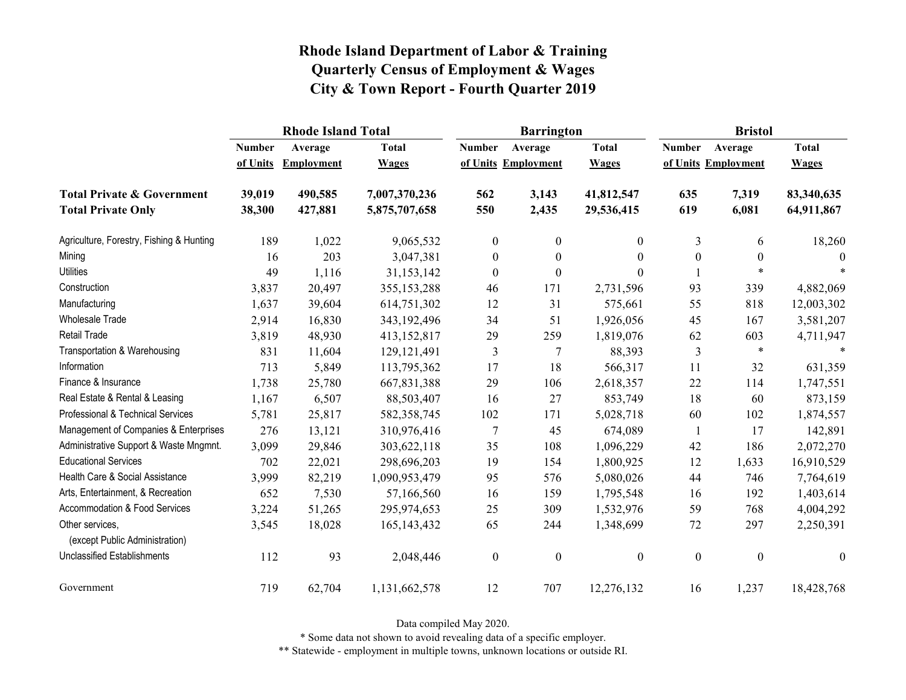|                                                   |               | <b>Rhode Island Total</b> |               |                  | <b>Barrington</b>   |                | <b>Bristol</b>   |                     |                  |
|---------------------------------------------------|---------------|---------------------------|---------------|------------------|---------------------|----------------|------------------|---------------------|------------------|
|                                                   | <b>Number</b> | Average                   | <b>Total</b>  | <b>Number</b>    | Average             | <b>Total</b>   | <b>Number</b>    | Average             | <b>Total</b>     |
|                                                   | of Units      | Employment                | <b>Wages</b>  |                  | of Units Employment | <b>Wages</b>   |                  | of Units Employment | <b>Wages</b>     |
| <b>Total Private &amp; Government</b>             | 39,019        | 490,585                   | 7,007,370,236 | 562              | 3,143               | 41,812,547     | 635              | 7,319               | 83,340,635       |
| <b>Total Private Only</b>                         | 38,300        | 427,881                   | 5,875,707,658 | 550              | 2,435               | 29,536,415     | 619              | 6,081               | 64,911,867       |
| Agriculture, Forestry, Fishing & Hunting          | 189           | 1,022                     | 9,065,532     | $\boldsymbol{0}$ | $\mathbf{0}$        | $\overline{0}$ | 3                | 6                   | 18,260           |
| Mining                                            | 16            | 203                       | 3,047,381     | $\boldsymbol{0}$ | $\theta$            | $\theta$       | $\boldsymbol{0}$ | $\boldsymbol{0}$    | $\Omega$         |
| <b>Utilities</b>                                  | 49            | 1,116                     | 31,153,142    | $\boldsymbol{0}$ | $\boldsymbol{0}$    | $\theta$       |                  | $\ast$              |                  |
| Construction                                      | 3,837         | 20,497                    | 355,153,288   | 46               | 171                 | 2,731,596      | 93               | 339                 | 4,882,069        |
| Manufacturing                                     | 1,637         | 39,604                    | 614,751,302   | 12               | 31                  | 575,661        | 55               | 818                 | 12,003,302       |
| <b>Wholesale Trade</b>                            | 2,914         | 16,830                    | 343,192,496   | 34               | 51                  | 1,926,056      | 45               | 167                 | 3,581,207        |
| Retail Trade                                      | 3,819         | 48,930                    | 413,152,817   | 29               | 259                 | 1,819,076      | 62               | 603                 | 4,711,947        |
| Transportation & Warehousing                      | 831           | 11,604                    | 129, 121, 491 | $\overline{3}$   | $\overline{7}$      | 88,393         | $\mathfrak{Z}$   | $\ast$              |                  |
| Information                                       | 713           | 5,849                     | 113,795,362   | 17               | 18                  | 566,317        | 11               | 32                  | 631,359          |
| Finance & Insurance                               | 1,738         | 25,780                    | 667,831,388   | 29               | 106                 | 2,618,357      | 22               | 114                 | 1,747,551        |
| Real Estate & Rental & Leasing                    | 1,167         | 6,507                     | 88,503,407    | 16               | 27                  | 853,749        | 18               | 60                  | 873,159          |
| Professional & Technical Services                 | 5,781         | 25,817                    | 582,358,745   | 102              | 171                 | 5,028,718      | 60               | 102                 | 1,874,557        |
| Management of Companies & Enterprises             | 276           | 13,121                    | 310,976,416   | 7                | 45                  | 674,089        | 1                | 17                  | 142,891          |
| Administrative Support & Waste Mngmnt.            | 3,099         | 29,846                    | 303,622,118   | 35               | 108                 | 1,096,229      | 42               | 186                 | 2,072,270        |
| <b>Educational Services</b>                       | 702           | 22,021                    | 298,696,203   | 19               | 154                 | 1,800,925      | 12               | 1,633               | 16,910,529       |
| Health Care & Social Assistance                   | 3,999         | 82,219                    | 1,090,953,479 | 95               | 576                 | 5,080,026      | 44               | 746                 | 7,764,619        |
| Arts, Entertainment, & Recreation                 | 652           | 7,530                     | 57,166,560    | 16               | 159                 | 1,795,548      | 16               | 192                 | 1,403,614        |
| Accommodation & Food Services                     | 3,224         | 51,265                    | 295,974,653   | 25               | 309                 | 1,532,976      | 59               | 768                 | 4,004,292        |
| Other services,<br>(except Public Administration) | 3,545         | 18,028                    | 165, 143, 432 | 65               | 244                 | 1,348,699      | $72\,$           | 297                 | 2,250,391        |
| <b>Unclassified Establishments</b>                | 112           | 93                        | 2,048,446     | $\boldsymbol{0}$ | $\boldsymbol{0}$    | $\overline{0}$ | $\boldsymbol{0}$ | $\boldsymbol{0}$    | $\boldsymbol{0}$ |
| Government                                        | 719           | 62,704                    | 1,131,662,578 | 12               | 707                 | 12,276,132     | 16               | 1,237               | 18,428,768       |

Data compiled May 2020.

\* Some data not shown to avoid revealing data of a specific employer.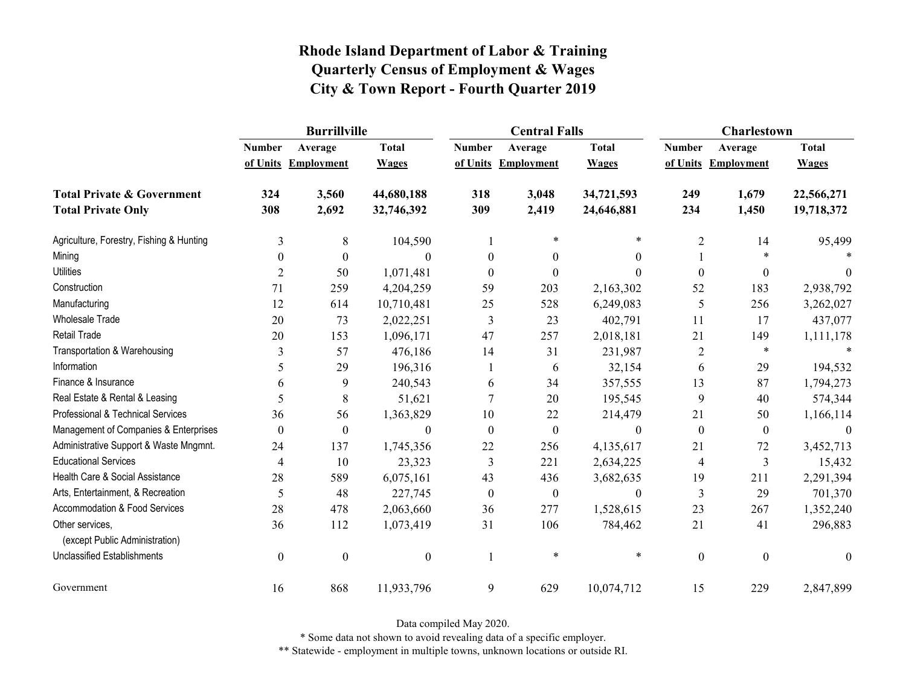|                                                   | <b>Burrillville</b> |                     |                  |               | <b>Central Falls</b> |                  | <b>Charlestown</b> |                     |              |
|---------------------------------------------------|---------------------|---------------------|------------------|---------------|----------------------|------------------|--------------------|---------------------|--------------|
|                                                   | <b>Number</b>       | Average             | <b>Total</b>     | <b>Number</b> | Average              | <b>Total</b>     | <b>Number</b>      | Average             | <b>Total</b> |
|                                                   |                     | of Units Employment | <b>Wages</b>     |               | of Units Employment  | <b>Wages</b>     |                    | of Units Employment | <b>Wages</b> |
| <b>Total Private &amp; Government</b>             | 324                 | 3,560               | 44,680,188       | 318           | 3,048                | 34,721,593       | 249                | 1,679               | 22,566,271   |
| <b>Total Private Only</b>                         | 308                 | 2,692               | 32,746,392       | 309           | 2,419                | 24,646,881       | 234                | 1,450               | 19,718,372   |
| Agriculture, Forestry, Fishing & Hunting          | 3                   | $8\,$               | 104,590          |               | $\ast$               | $\ast$           | $\overline{2}$     | 14                  | 95,499       |
| Mining                                            | $\Omega$            | $\mathbf{0}$        | 0                | $\theta$      | $\Omega$             | $\Omega$         |                    |                     |              |
| <b>Utilities</b>                                  | $\overline{2}$      | 50                  | 1,071,481        | $\theta$      | $\theta$             | $\theta$         | $\boldsymbol{0}$   | $\boldsymbol{0}$    | $\theta$     |
| Construction                                      | 71                  | 259                 | 4,204,259        | 59            | 203                  | 2,163,302        | 52                 | 183                 | 2,938,792    |
| Manufacturing                                     | 12                  | 614                 | 10,710,481       | 25            | 528                  | 6,249,083        | 5                  | 256                 | 3,262,027    |
| <b>Wholesale Trade</b>                            | 20                  | 73                  | 2,022,251        | 3             | 23                   | 402,791          | 11                 | 17                  | 437,077      |
| Retail Trade                                      | 20                  | 153                 | 1,096,171        | 47            | 257                  | 2,018,181        | 21                 | 149                 | 1,111,178    |
| Transportation & Warehousing                      | 3                   | 57                  | 476,186          | 14            | 31                   | 231,987          | $\sqrt{2}$         | $\ast$              |              |
| Information                                       | 5                   | 29                  | 196,316          |               | 6                    | 32,154           | 6                  | 29                  | 194,532      |
| Finance & Insurance                               | 6                   | 9                   | 240,543          | 6             | 34                   | 357,555          | 13                 | 87                  | 1,794,273    |
| Real Estate & Rental & Leasing                    | 5                   | $8\,$               | 51,621           | $\tau$        | 20                   | 195,545          | 9                  | 40                  | 574,344      |
| Professional & Technical Services                 | 36                  | 56                  | 1,363,829        | 10            | 22                   | 214,479          | 21                 | 50                  | 1,166,114    |
| Management of Companies & Enterprises             | $\boldsymbol{0}$    | $\boldsymbol{0}$    | $\theta$         | $\theta$      | $\boldsymbol{0}$     | $\boldsymbol{0}$ | $\boldsymbol{0}$   | $\boldsymbol{0}$    | $\Omega$     |
| Administrative Support & Waste Mngmnt.            | 24                  | 137                 | 1,745,356        | 22            | 256                  | 4,135,617        | 21                 | 72                  | 3,452,713    |
| <b>Educational Services</b>                       | $\overline{4}$      | 10                  | 23,323           | 3             | 221                  | 2,634,225        | $\overline{4}$     | 3                   | 15,432       |
| Health Care & Social Assistance                   | 28                  | 589                 | 6,075,161        | 43            | 436                  | 3,682,635        | 19                 | 211                 | 2,291,394    |
| Arts, Entertainment, & Recreation                 | 5                   | 48                  | 227,745          | $\mathbf{0}$  | $\mathbf{0}$         | $\boldsymbol{0}$ | 3                  | 29                  | 701,370      |
| Accommodation & Food Services                     | 28                  | 478                 | 2,063,660        | 36            | 277                  | 1,528,615        | 23                 | 267                 | 1,352,240    |
| Other services,<br>(except Public Administration) | 36                  | 112                 | 1,073,419        | 31            | 106                  | 784,462          | 21                 | 41                  | 296,883      |
| <b>Unclassified Establishments</b>                | $\boldsymbol{0}$    | $\boldsymbol{0}$    | $\boldsymbol{0}$ |               | $\star$              | $\ast$           | $\boldsymbol{0}$   | $\boldsymbol{0}$    | $\mathbf{0}$ |
| Government                                        | 16                  | 868                 | 11,933,796       | 9             | 629                  | 10,074,712       | 15                 | 229                 | 2,847,899    |

Data compiled May 2020.

\* Some data not shown to avoid revealing data of a specific employer.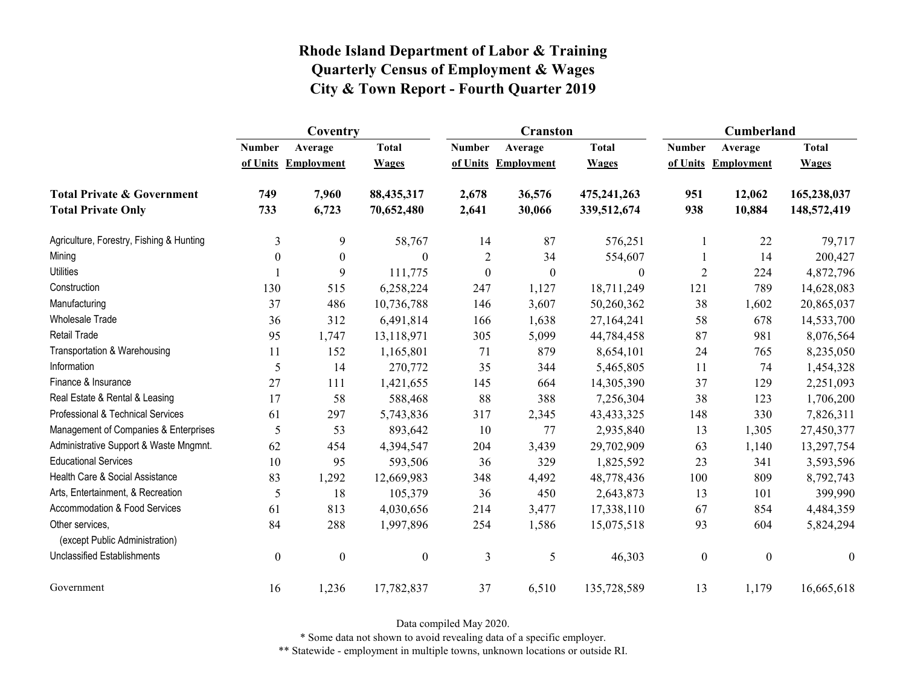|                                                   | Coventry         |                     |                  |                  | <b>Cranston</b>     |                  | Cumberland       |                     |                  |
|---------------------------------------------------|------------------|---------------------|------------------|------------------|---------------------|------------------|------------------|---------------------|------------------|
|                                                   | <b>Number</b>    | Average             | <b>Total</b>     | <b>Number</b>    | Average             | <b>Total</b>     | <b>Number</b>    | Average             | <b>Total</b>     |
|                                                   |                  | of Units Employment | <b>Wages</b>     |                  | of Units Employment | <b>Wages</b>     |                  | of Units Employment | <b>Wages</b>     |
| <b>Total Private &amp; Government</b>             | 749              | 7,960               | 88,435,317       | 2,678            | 36,576              | 475,241,263      | 951              | 12,062              | 165,238,037      |
| <b>Total Private Only</b>                         | 733              | 6,723               | 70,652,480       | 2,641            | 30,066              | 339,512,674      | 938              | 10,884              | 148,572,419      |
| Agriculture, Forestry, Fishing & Hunting          | 3                | 9                   | 58,767           | 14               | 87                  | 576,251          | 1                | 22                  | 79,717           |
| Mining                                            | $\theta$         | $\mathbf{0}$        | $\Omega$         | $\overline{c}$   | 34                  | 554,607          |                  | 14                  | 200,427          |
| <b>Utilities</b>                                  |                  | 9                   | 111,775          | $\boldsymbol{0}$ | $\boldsymbol{0}$    | $\boldsymbol{0}$ | $\overline{2}$   | 224                 | 4,872,796        |
| Construction                                      | 130              | 515                 | 6,258,224        | 247              | 1,127               | 18,711,249       | 121              | 789                 | 14,628,083       |
| Manufacturing                                     | 37               | 486                 | 10,736,788       | 146              | 3,607               | 50,260,362       | 38               | 1,602               | 20,865,037       |
| Wholesale Trade                                   | 36               | 312                 | 6,491,814        | 166              | 1,638               | 27,164,241       | 58               | 678                 | 14,533,700       |
| Retail Trade                                      | 95               | 1,747               | 13,118,971       | 305              | 5,099               | 44,784,458       | 87               | 981                 | 8,076,564        |
| Transportation & Warehousing                      | 11               | 152                 | 1,165,801        | 71               | 879                 | 8,654,101        | 24               | 765                 | 8,235,050        |
| Information                                       | 5                | 14                  | 270,772          | 35               | 344                 | 5,465,805        | 11               | 74                  | 1,454,328        |
| Finance & Insurance                               | 27               | 111                 | 1,421,655        | 145              | 664                 | 14,305,390       | 37               | 129                 | 2,251,093        |
| Real Estate & Rental & Leasing                    | 17               | 58                  | 588,468          | 88               | 388                 | 7,256,304        | 38               | 123                 | 1,706,200        |
| Professional & Technical Services                 | 61               | 297                 | 5,743,836        | 317              | 2,345               | 43, 433, 325     | 148              | 330                 | 7,826,311        |
| Management of Companies & Enterprises             | 5                | 53                  | 893,642          | 10               | 77                  | 2,935,840        | 13               | 1,305               | 27,450,377       |
| Administrative Support & Waste Mngmnt.            | 62               | 454                 | 4,394,547        | 204              | 3,439               | 29,702,909       | 63               | 1,140               | 13,297,754       |
| <b>Educational Services</b>                       | 10               | 95                  | 593,506          | 36               | 329                 | 1,825,592        | 23               | 341                 | 3,593,596        |
| Health Care & Social Assistance                   | 83               | 1,292               | 12,669,983       | 348              | 4,492               | 48,778,436       | 100              | 809                 | 8,792,743        |
| Arts, Entertainment, & Recreation                 | 5                | 18                  | 105,379          | 36               | 450                 | 2,643,873        | 13               | 101                 | 399,990          |
| Accommodation & Food Services                     | 61               | 813                 | 4,030,656        | 214              | 3,477               | 17,338,110       | 67               | 854                 | 4,484,359        |
| Other services,<br>(except Public Administration) | 84               | 288                 | 1,997,896        | 254              | 1,586               | 15,075,518       | 93               | 604                 | 5,824,294        |
| <b>Unclassified Establishments</b>                | $\boldsymbol{0}$ | $\boldsymbol{0}$    | $\boldsymbol{0}$ | $\mathfrak{Z}$   | 5                   | 46,303           | $\boldsymbol{0}$ | $\boldsymbol{0}$    | $\boldsymbol{0}$ |
| Government                                        | 16               | 1,236               | 17,782,837       | 37               | 6,510               | 135,728,589      | 13               | 1,179               | 16,665,618       |

Data compiled May 2020.

\* Some data not shown to avoid revealing data of a specific employer.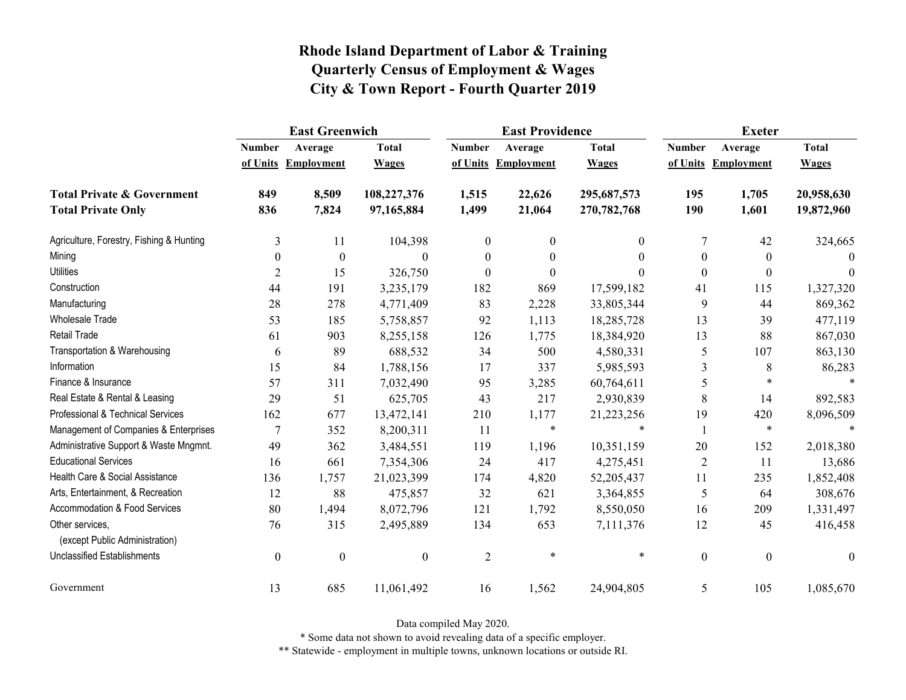|                                                   | <b>East Greenwich</b> |                     |                  |                  | <b>East Providence</b> |                | <b>Exeter</b>    |                     |              |
|---------------------------------------------------|-----------------------|---------------------|------------------|------------------|------------------------|----------------|------------------|---------------------|--------------|
|                                                   | <b>Number</b>         | Average             | <b>Total</b>     | <b>Number</b>    | Average                | <b>Total</b>   | <b>Number</b>    | Average             | <b>Total</b> |
|                                                   |                       | of Units Employment | <b>Wages</b>     |                  | of Units Employment    | <b>Wages</b>   |                  | of Units Employment | <b>Wages</b> |
| <b>Total Private &amp; Government</b>             | 849                   | 8,509               | 108,227,376      | 1,515            | 22,626                 | 295,687,573    | 195              | 1,705               | 20,958,630   |
| <b>Total Private Only</b>                         | 836                   | 7,824               | 97,165,884       | 1,499            | 21,064                 | 270,782,768    | 190              | 1,601               | 19,872,960   |
| Agriculture, Forestry, Fishing & Hunting          | 3                     | 11                  | 104,398          | $\mathbf{0}$     | $\mathbf{0}$           | $\overline{0}$ | 7                | 42                  | 324,665      |
| Mining                                            | $\theta$              | $\boldsymbol{0}$    | $\Omega$         | $\theta$         | $\theta$               | $\theta$       | $\mathbf{0}$     | $\theta$            | $\Omega$     |
| <b>Utilities</b>                                  | $\overline{2}$        | 15                  | 326,750          | $\boldsymbol{0}$ | $\boldsymbol{0}$       | $\Omega$       | $\boldsymbol{0}$ | $\mathbf{0}$        | $\theta$     |
| Construction                                      | 44                    | 191                 | 3,235,179        | 182              | 869                    | 17,599,182     | 41               | 115                 | 1,327,320    |
| Manufacturing                                     | 28                    | 278                 | 4,771,409        | 83               | 2,228                  | 33,805,344     | 9                | 44                  | 869,362      |
| <b>Wholesale Trade</b>                            | 53                    | 185                 | 5,758,857        | 92               | 1,113                  | 18,285,728     | 13               | 39                  | 477,119      |
| Retail Trade                                      | 61                    | 903                 | 8,255,158        | 126              | 1,775                  | 18,384,920     | 13               | 88                  | 867,030      |
| Transportation & Warehousing                      | 6                     | 89                  | 688,532          | 34               | 500                    | 4,580,331      | 5                | 107                 | 863,130      |
| Information                                       | 15                    | 84                  | 1,788,156        | 17               | 337                    | 5,985,593      | 3                | 8                   | 86,283       |
| Finance & Insurance                               | 57                    | 311                 | 7,032,490        | 95               | 3,285                  | 60,764,611     | 5                | $\ast$              |              |
| Real Estate & Rental & Leasing                    | 29                    | 51                  | 625,705          | 43               | 217                    | 2,930,839      | $8\,$            | 14                  | 892,583      |
| Professional & Technical Services                 | 162                   | 677                 | 13,472,141       | 210              | 1,177                  | 21,223,256     | 19               | 420                 | 8,096,509    |
| Management of Companies & Enterprises             | 7                     | 352                 | 8,200,311        | 11               | $\ast$                 | $\ast$         |                  | $\ast$              | $\ast$       |
| Administrative Support & Waste Mngmnt.            | 49                    | 362                 | 3,484,551        | 119              | 1,196                  | 10,351,159     | 20               | 152                 | 2,018,380    |
| <b>Educational Services</b>                       | 16                    | 661                 | 7,354,306        | 24               | 417                    | 4,275,451      | $\overline{2}$   | 11                  | 13,686       |
| Health Care & Social Assistance                   | 136                   | 1,757               | 21,023,399       | 174              | 4,820                  | 52, 205, 437   | 11               | 235                 | 1,852,408    |
| Arts, Entertainment, & Recreation                 | 12                    | 88                  | 475,857          | 32               | 621                    | 3,364,855      | 5                | 64                  | 308,676      |
| Accommodation & Food Services                     | 80                    | 1,494               | 8,072,796        | 121              | 1,792                  | 8,550,050      | 16               | 209                 | 1,331,497    |
| Other services,<br>(except Public Administration) | 76                    | 315                 | 2,495,889        | 134              | 653                    | 7,111,376      | 12               | 45                  | 416,458      |
| <b>Unclassified Establishments</b>                | $\boldsymbol{0}$      | $\boldsymbol{0}$    | $\boldsymbol{0}$ | $\overline{2}$   | $\ast$                 | $\star$        | $\boldsymbol{0}$ | $\boldsymbol{0}$    | $\theta$     |
| Government                                        | 13                    | 685                 | 11,061,492       | 16               | 1,562                  | 24,904,805     | 5                | 105                 | 1,085,670    |

Data compiled May 2020.

\* Some data not shown to avoid revealing data of a specific employer.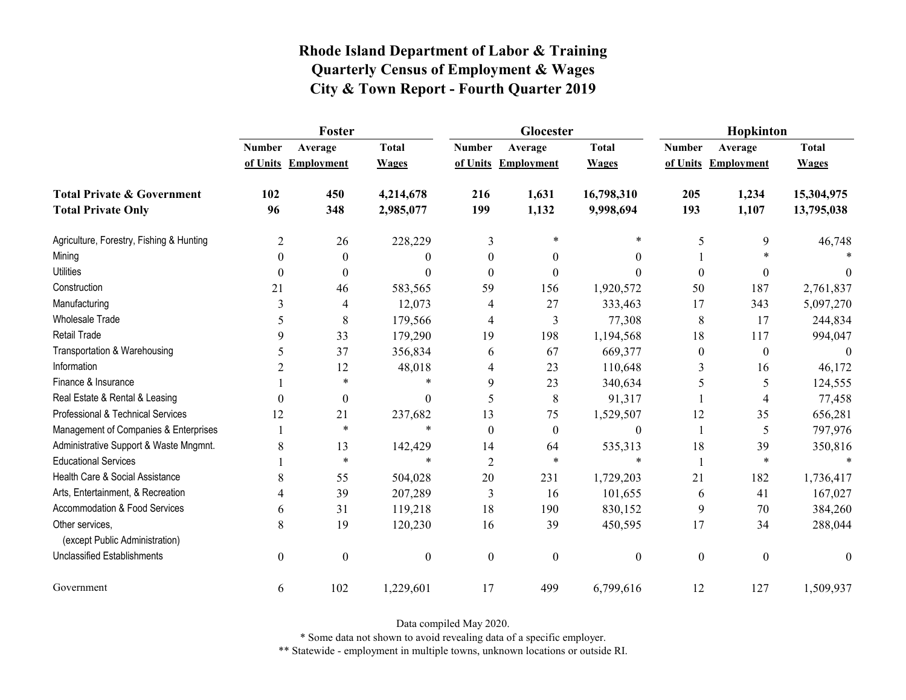|                                                   | Foster           |                     |              |                  | Glocester           |                  | Hopkinton        |                     |              |
|---------------------------------------------------|------------------|---------------------|--------------|------------------|---------------------|------------------|------------------|---------------------|--------------|
|                                                   | <b>Number</b>    | Average             | <b>Total</b> | <b>Number</b>    | Average             | <b>Total</b>     | <b>Number</b>    | Average             | <b>Total</b> |
|                                                   |                  | of Units Employment | <b>Wages</b> |                  | of Units Employment | <b>Wages</b>     |                  | of Units Employment | <b>Wages</b> |
| <b>Total Private &amp; Government</b>             | 102              | 450                 | 4,214,678    | 216              | 1,631               | 16,798,310       | 205              | 1,234               | 15,304,975   |
| <b>Total Private Only</b>                         | 96               | 348                 | 2,985,077    | 199              | 1,132               | 9,998,694        | 193              | 1,107               | 13,795,038   |
| Agriculture, Forestry, Fishing & Hunting          | 2                | 26                  | 228,229      | 3                | $\ast$              | $\ast$           | 5                | 9                   | 46,748       |
| Mining                                            | $\Omega$         | $\theta$            | 0            | $\theta$         | $\theta$            | $\theta$         |                  |                     |              |
| <b>Utilities</b>                                  | $\theta$         | $\boldsymbol{0}$    | $\theta$     | $\theta$         | $\theta$            | $\theta$         | $\boldsymbol{0}$ | 0                   | $\theta$     |
| Construction                                      | 21               | 46                  | 583,565      | 59               | 156                 | 1,920,572        | 50               | 187                 | 2,761,837    |
| Manufacturing                                     | 3                | 4                   | 12,073       | 4                | 27                  | 333,463          | 17               | 343                 | 5,097,270    |
| <b>Wholesale Trade</b>                            | 5                | 8                   | 179,566      | 4                | 3                   | 77,308           | 8                | 17                  | 244,834      |
| Retail Trade                                      | 9                | 33                  | 179,290      | 19               | 198                 | 1,194,568        | 18               | 117                 | 994,047      |
| Transportation & Warehousing                      | 5                | 37                  | 356,834      | 6                | 67                  | 669,377          | $\boldsymbol{0}$ | $\boldsymbol{0}$    | $\mathbf{0}$ |
| Information                                       | 2                | 12                  | 48,018       | 4                | 23                  | 110,648          | 3                | 16                  | 46,172       |
| Finance & Insurance                               |                  | $\ast$              | $\ast$       | 9                | 23                  | 340,634          | 5                | 5                   | 124,555      |
| Real Estate & Rental & Leasing                    | $\theta$         | $\boldsymbol{0}$    | $\theta$     | 5                | 8                   | 91,317           |                  | 4                   | 77,458       |
| Professional & Technical Services                 | 12               | 21                  | 237,682      | 13               | 75                  | 1,529,507        | 12               | 35                  | 656,281      |
| Management of Companies & Enterprises             |                  | $\ast$              | $\ast$       | $\theta$         | $\theta$            | $\theta$         | $\mathbf{1}$     | 5                   | 797,976      |
| Administrative Support & Waste Mngmnt.            | 8                | 13                  | 142,429      | 14               | 64                  | 535,313          | 18               | 39                  | 350,816      |
| <b>Educational Services</b>                       |                  | $\ast$              | $\ast$       | $\overline{2}$   | $\ast$              | $\ast$           | 1                | $\ast$              |              |
| Health Care & Social Assistance                   | 8                | 55                  | 504,028      | 20               | 231                 | 1,729,203        | 21               | 182                 | 1,736,417    |
| Arts, Entertainment, & Recreation                 | 4                | 39                  | 207,289      | 3                | 16                  | 101,655          | 6                | 41                  | 167,027      |
| Accommodation & Food Services                     | 6                | 31                  | 119,218      | 18               | 190                 | 830,152          | 9                | 70                  | 384,260      |
| Other services,<br>(except Public Administration) | 8                | 19                  | 120,230      | 16               | 39                  | 450,595          | 17               | 34                  | 288,044      |
| <b>Unclassified Establishments</b>                | $\boldsymbol{0}$ | $\boldsymbol{0}$    | $\mathbf{0}$ | $\boldsymbol{0}$ | $\overline{0}$      | $\boldsymbol{0}$ | $\boldsymbol{0}$ | $\boldsymbol{0}$    | $\theta$     |
|                                                   |                  |                     |              |                  |                     |                  |                  |                     |              |
| Government                                        | 6                | 102                 | 1,229,601    | 17               | 499                 | 6,799,616        | 12               | 127                 | 1,509,937    |

Data compiled May 2020.

\* Some data not shown to avoid revealing data of a specific employer.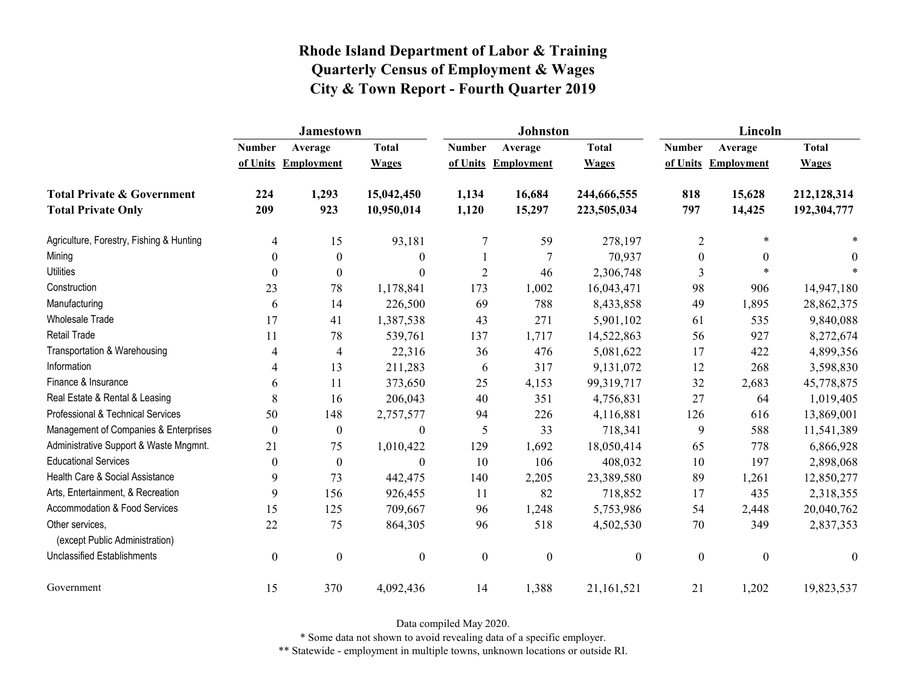|                                                   | <b>Jamestown</b> |                          |                  |                  | Johnston          |                  | Lincoln          |                   |                  |
|---------------------------------------------------|------------------|--------------------------|------------------|------------------|-------------------|------------------|------------------|-------------------|------------------|
|                                                   | <b>Number</b>    | Average                  | <b>Total</b>     | <b>Number</b>    | Average           | <b>Total</b>     | <b>Number</b>    | Average           | <b>Total</b>     |
|                                                   |                  | of Units Employment      | <b>Wages</b>     | of Units         | <b>Employment</b> | <b>Wages</b>     | of Units         | <b>Employment</b> | <b>Wages</b>     |
| <b>Total Private &amp; Government</b>             | 224              | 1,293                    | 15,042,450       | 1,134            | 16,684            | 244,666,555      | 818              | 15,628            | 212,128,314      |
| <b>Total Private Only</b>                         | 209              | 923                      | 10,950,014       | 1,120            | 15,297            | 223,505,034      | 797              | 14,425            | 192,304,777      |
| Agriculture, Forestry, Fishing & Hunting          | 4                | 15                       | 93,181           | $\tau$           | 59                | 278,197          | $\overline{2}$   | $\ast$            |                  |
| Mining                                            | $\theta$         | $\boldsymbol{0}$         | $\boldsymbol{0}$ |                  | 7                 | 70,937           | $\boldsymbol{0}$ | $\theta$          | $\theta$         |
| <b>Utilities</b>                                  | $\theta$         | $\theta$                 | $\boldsymbol{0}$ | $\overline{2}$   | 46                | 2,306,748        | 3                | $\ast$            |                  |
| Construction                                      | 23               | 78                       | 1,178,841        | 173              | 1,002             | 16,043,471       | 98               | 906               | 14,947,180       |
| Manufacturing                                     | 6                | 14                       | 226,500          | 69               | 788               | 8,433,858        | 49               | 1,895             | 28,862,375       |
| Wholesale Trade                                   | 17               | 41                       | 1,387,538        | 43               | 271               | 5,901,102        | 61               | 535               | 9,840,088        |
| <b>Retail Trade</b>                               | 11               | 78                       | 539,761          | 137              | 1,717             | 14,522,863       | 56               | 927               | 8,272,674        |
| Transportation & Warehousing                      | 4                | $\overline{\mathcal{A}}$ | 22,316           | 36               | 476               | 5,081,622        | 17               | 422               | 4,899,356        |
| Information                                       | 4                | 13                       | 211,283          | 6                | 317               | 9,131,072        | 12               | 268               | 3,598,830        |
| Finance & Insurance                               | 6                | 11                       | 373,650          | 25               | 4,153             | 99,319,717       | 32               | 2,683             | 45,778,875       |
| Real Estate & Rental & Leasing                    | 8                | 16                       | 206,043          | 40               | 351               | 4,756,831        | 27               | 64                | 1,019,405        |
| Professional & Technical Services                 | 50               | 148                      | 2,757,577        | 94               | 226               | 4,116,881        | 126              | 616               | 13,869,001       |
| Management of Companies & Enterprises             | $\boldsymbol{0}$ | $\boldsymbol{0}$         | $\boldsymbol{0}$ | 5                | 33                | 718,341          | 9                | 588               | 11,541,389       |
| Administrative Support & Waste Mngmnt.            | 21               | 75                       | 1,010,422        | 129              | 1,692             | 18,050,414       | 65               | 778               | 6,866,928        |
| <b>Educational Services</b>                       | $\theta$         | $\theta$                 | $\boldsymbol{0}$ | 10               | 106               | 408,032          | 10               | 197               | 2,898,068        |
| Health Care & Social Assistance                   | 9                | 73                       | 442,475          | 140              | 2,205             | 23,389,580       | 89               | 1,261             | 12,850,277       |
| Arts, Entertainment, & Recreation                 | 9                | 156                      | 926,455          | 11               | 82                | 718,852          | 17               | 435               | 2,318,355        |
| <b>Accommodation &amp; Food Services</b>          | 15               | 125                      | 709,667          | 96               | 1,248             | 5,753,986        | 54               | 2,448             | 20,040,762       |
| Other services,<br>(except Public Administration) | 22               | 75                       | 864,305          | 96               | 518               | 4,502,530        | 70               | 349               | 2,837,353        |
| <b>Unclassified Establishments</b>                | $\mathbf{0}$     | $\mathbf{0}$             | $\boldsymbol{0}$ | $\boldsymbol{0}$ | $\boldsymbol{0}$  | $\boldsymbol{0}$ | $\mathbf{0}$     | $\boldsymbol{0}$  | $\boldsymbol{0}$ |
| Government                                        | 15               | 370                      | 4,092,436        | 14               | 1,388             | 21,161,521       | 21               | 1,202             | 19,823,537       |

Data compiled May 2020.

\* Some data not shown to avoid revealing data of a specific employer.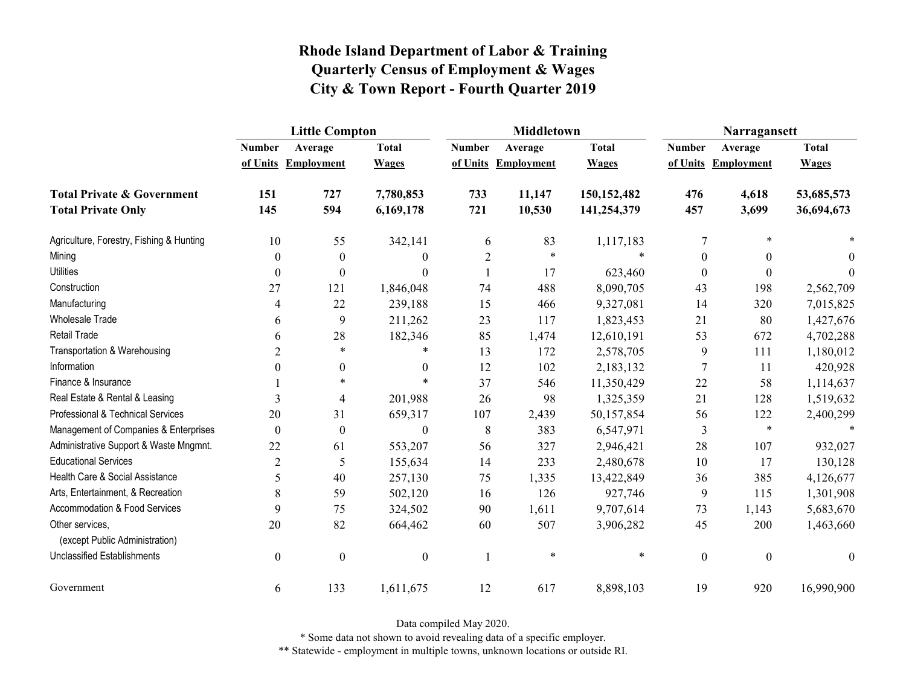|                                                   | <b>Little Compton</b> |                     |                  |                | <b>Middletown</b>   |               | Narragansett     |                     |              |
|---------------------------------------------------|-----------------------|---------------------|------------------|----------------|---------------------|---------------|------------------|---------------------|--------------|
|                                                   | <b>Number</b>         | Average             | <b>Total</b>     | <b>Number</b>  | Average             | <b>Total</b>  | <b>Number</b>    | Average             | <b>Total</b> |
|                                                   |                       | of Units Employment | <b>Wages</b>     |                | of Units Employment | <b>Wages</b>  |                  | of Units Employment | <b>Wages</b> |
| <b>Total Private &amp; Government</b>             | 151                   | 727                 | 7,780,853        | 733            | 11,147              | 150, 152, 482 | 476              | 4,618               | 53,685,573   |
| <b>Total Private Only</b>                         | 145                   | 594                 | 6,169,178        | 721            | 10,530              | 141,254,379   | 457              | 3,699               | 36,694,673   |
| Agriculture, Forestry, Fishing & Hunting          | 10                    | 55                  | 342,141          | 6              | 83                  | 1,117,183     | 7                | *                   |              |
| Mining                                            | $\theta$              | $\boldsymbol{0}$    | $\theta$         | $\overline{c}$ | $\ast$              | $\ast$        | $\boldsymbol{0}$ | $\theta$            | $\Omega$     |
| <b>Utilities</b>                                  | $\theta$              | $\theta$            | $\theta$         |                | 17                  | 623,460       | $\boldsymbol{0}$ | $\theta$            | $\Omega$     |
| Construction                                      | 27                    | 121                 | 1,846,048        | 74             | 488                 | 8,090,705     | 43               | 198                 | 2,562,709    |
| Manufacturing                                     | $\overline{4}$        | 22                  | 239,188          | 15             | 466                 | 9,327,081     | 14               | 320                 | 7,015,825    |
| <b>Wholesale Trade</b>                            | 6                     | 9                   | 211,262          | 23             | 117                 | 1,823,453     | 21               | 80                  | 1,427,676    |
| Retail Trade                                      | 6                     | 28                  | 182,346          | 85             | 1,474               | 12,610,191    | 53               | 672                 | 4,702,288    |
| Transportation & Warehousing                      | $\overline{2}$        | $\star$             | $*$              | 13             | 172                 | 2,578,705     | 9                | 111                 | 1,180,012    |
| Information                                       | 0                     | 0                   | $\mathbf{0}$     | 12             | 102                 | 2,183,132     | 7                | 11                  | 420,928      |
| Finance & Insurance                               |                       | $\star$             | $\star$          | 37             | 546                 | 11,350,429    | 22               | 58                  | 1,114,637    |
| Real Estate & Rental & Leasing                    | 3                     | 4                   | 201,988          | 26             | 98                  | 1,325,359     | 21               | 128                 | 1,519,632    |
| Professional & Technical Services                 | 20                    | 31                  | 659,317          | 107            | 2,439               | 50,157,854    | 56               | 122                 | 2,400,299    |
| Management of Companies & Enterprises             | $\boldsymbol{0}$      | $\boldsymbol{0}$    | $\boldsymbol{0}$ | 8              | 383                 | 6,547,971     | 3                | $\ast$              | $\ast$       |
| Administrative Support & Waste Mngmnt.            | 22                    | 61                  | 553,207          | 56             | 327                 | 2,946,421     | 28               | 107                 | 932,027      |
| <b>Educational Services</b>                       | $\overline{2}$        | 5                   | 155,634          | 14             | 233                 | 2,480,678     | 10               | 17                  | 130,128      |
| Health Care & Social Assistance                   | 5                     | 40                  | 257,130          | 75             | 1,335               | 13,422,849    | 36               | 385                 | 4,126,677    |
| Arts, Entertainment, & Recreation                 | 8                     | 59                  | 502,120          | 16             | 126                 | 927,746       | 9                | 115                 | 1,301,908    |
| Accommodation & Food Services                     | 9                     | 75                  | 324,502          | 90             | 1,611               | 9,707,614     | 73               | 1,143               | 5,683,670    |
| Other services,<br>(except Public Administration) | 20                    | 82                  | 664,462          | 60             | 507                 | 3,906,282     | 45               | 200                 | 1,463,660    |
| <b>Unclassified Establishments</b>                | $\boldsymbol{0}$      | $\boldsymbol{0}$    | $\boldsymbol{0}$ | 1              | $\ast$              | $\star$       | $\boldsymbol{0}$ | $\boldsymbol{0}$    | $\theta$     |
| Government                                        | 6                     | 133                 | 1,611,675        | 12             | 617                 | 8,898,103     | 19               | 920                 | 16,990,900   |

Data compiled May 2020.

\* Some data not shown to avoid revealing data of a specific employer.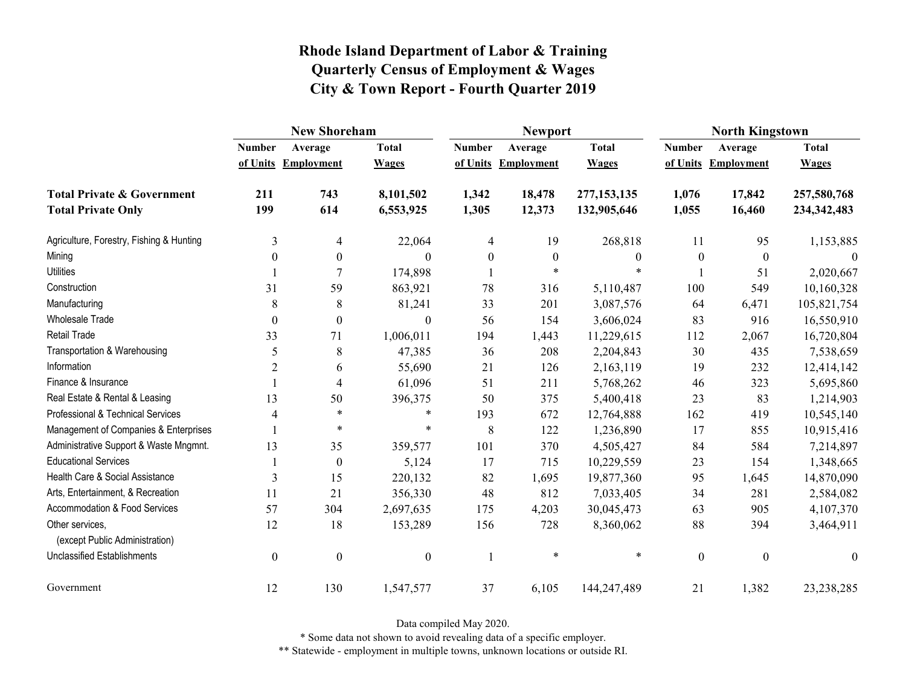|                                                   | <b>New Shoreham</b> |                     |                  |               | <b>Newport</b>      |                  | <b>North Kingstown</b> |                     |                  |  |
|---------------------------------------------------|---------------------|---------------------|------------------|---------------|---------------------|------------------|------------------------|---------------------|------------------|--|
|                                                   | <b>Number</b>       | Average             | <b>Total</b>     | <b>Number</b> | Average             | <b>Total</b>     | <b>Number</b>          | Average             | <b>Total</b>     |  |
|                                                   |                     | of Units Employment | <b>Wages</b>     |               | of Units Employment | <b>Wages</b>     |                        | of Units Employment | <b>Wages</b>     |  |
| <b>Total Private &amp; Government</b>             | 211                 | 743                 | 8,101,502        | 1,342         | 18,478              | 277,153,135      | 1,076                  | 17,842              | 257,580,768      |  |
| <b>Total Private Only</b>                         | 199                 | 614                 | 6,553,925        | 1,305         | 12,373              | 132,905,646      | 1,055                  | 16,460              | 234, 342, 483    |  |
| Agriculture, Forestry, Fishing & Hunting          | 3                   | 4                   | 22,064           | 4             | 19                  | 268,818          | 11                     | 95                  | 1,153,885        |  |
| Mining                                            | $\Omega$            | $\boldsymbol{0}$    | $\theta$         | $\theta$      | $\boldsymbol{0}$    | $\boldsymbol{0}$ | $\boldsymbol{0}$       | $\theta$            |                  |  |
| <b>Utilities</b>                                  |                     |                     | 174,898          |               | $\star$             | $\ast$           |                        | 51                  | 2,020,667        |  |
| Construction                                      | 31                  | 59                  | 863,921          | 78            | 316                 | 5,110,487        | 100                    | 549                 | 10,160,328       |  |
| Manufacturing                                     | 8                   | $8\,$               | 81,241           | 33            | 201                 | 3,087,576        | 64                     | 6,471               | 105,821,754      |  |
| Wholesale Trade                                   | $\theta$            | $\boldsymbol{0}$    | $\theta$         | 56            | 154                 | 3,606,024        | 83                     | 916                 | 16,550,910       |  |
| Retail Trade                                      | 33                  | 71                  | 1,006,011        | 194           | 1,443               | 11,229,615       | 112                    | 2,067               | 16,720,804       |  |
| Transportation & Warehousing                      | 5                   | $8\,$               | 47,385           | 36            | 208                 | 2,204,843        | 30                     | 435                 | 7,538,659        |  |
| Information                                       | 2                   | 6                   | 55,690           | 21            | 126                 | 2,163,119        | 19                     | 232                 | 12,414,142       |  |
| Finance & Insurance                               |                     | 4                   | 61,096           | 51            | 211                 | 5,768,262        | 46                     | 323                 | 5,695,860        |  |
| Real Estate & Rental & Leasing                    | 13                  | 50                  | 396,375          | 50            | 375                 | 5,400,418        | 23                     | 83                  | 1,214,903        |  |
| Professional & Technical Services                 | 4                   | $\ast$              | $\ast$           | 193           | 672                 | 12,764,888       | 162                    | 419                 | 10,545,140       |  |
| Management of Companies & Enterprises             |                     | $\ast$              | $\ast$           | 8             | 122                 | 1,236,890        | 17                     | 855                 | 10,915,416       |  |
| Administrative Support & Waste Mngmnt.            | 13                  | 35                  | 359,577          | 101           | 370                 | 4,505,427        | 84                     | 584                 | 7,214,897        |  |
| <b>Educational Services</b>                       |                     | $\theta$            | 5,124            | 17            | 715                 | 10,229,559       | 23                     | 154                 | 1,348,665        |  |
| Health Care & Social Assistance                   | 3                   | 15                  | 220,132          | 82            | 1,695               | 19,877,360       | 95                     | 1,645               | 14,870,090       |  |
| Arts, Entertainment, & Recreation                 | 11                  | 21                  | 356,330          | 48            | 812                 | 7,033,405        | 34                     | 281                 | 2,584,082        |  |
| Accommodation & Food Services                     | 57                  | 304                 | 2,697,635        | 175           | 4,203               | 30,045,473       | 63                     | 905                 | 4,107,370        |  |
| Other services,<br>(except Public Administration) | 12                  | 18                  | 153,289          | 156           | 728                 | 8,360,062        | 88                     | 394                 | 3,464,911        |  |
| Unclassified Establishments                       | $\mathbf{0}$        | $\boldsymbol{0}$    | $\boldsymbol{0}$ | $\mathbf{1}$  | $\ast$              | $\star$          | $\boldsymbol{0}$       | $\mathbf{0}$        | $\boldsymbol{0}$ |  |
| Government                                        | 12                  | 130                 | 1,547,577        | 37            | 6,105               | 144,247,489      | 21                     | 1,382               | 23,238,285       |  |

Data compiled May 2020.

\* Some data not shown to avoid revealing data of a specific employer.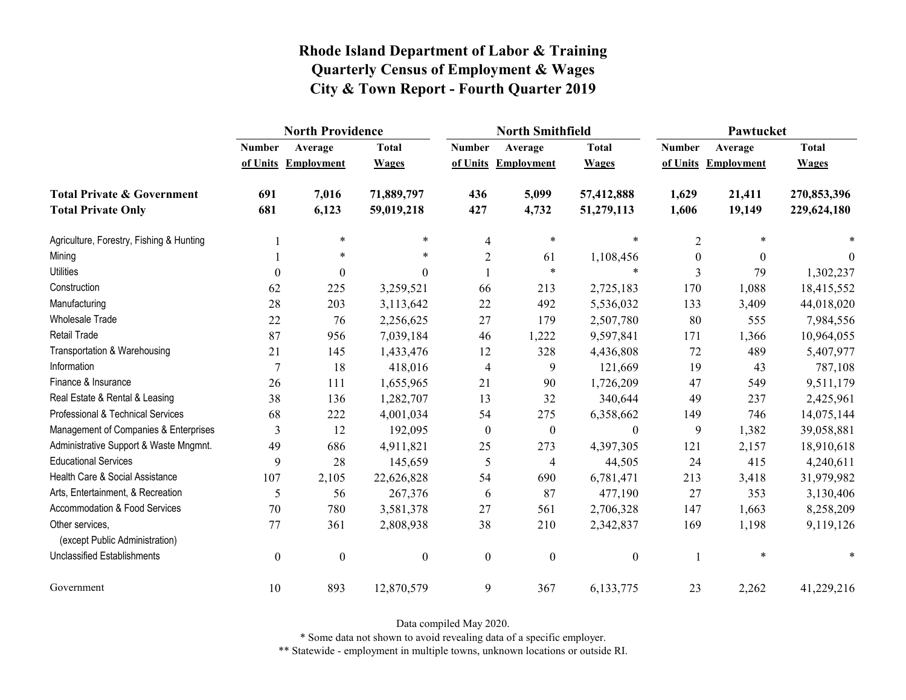|                                                   | <b>North Providence</b> |                     |                  |                  | <b>North Smithfield</b> |                  | Pawtucket        |                     |              |
|---------------------------------------------------|-------------------------|---------------------|------------------|------------------|-------------------------|------------------|------------------|---------------------|--------------|
|                                                   | <b>Number</b>           | Average             | <b>Total</b>     | <b>Number</b>    | Average                 | <b>Total</b>     | <b>Number</b>    | Average             | <b>Total</b> |
|                                                   |                         | of Units Employment | <b>Wages</b>     |                  | of Units Employment     | <b>Wages</b>     |                  | of Units Employment | <b>Wages</b> |
| <b>Total Private &amp; Government</b>             | 691                     | 7,016               | 71,889,797       | 436              | 5,099                   | 57,412,888       | 1,629            | 21,411              | 270,853,396  |
| <b>Total Private Only</b>                         | 681                     | 6,123               | 59,019,218       | 427              | 4,732                   | 51,279,113       | 1,606            | 19,149              | 229,624,180  |
| Agriculture, Forestry, Fishing & Hunting          |                         | $\ast$              | *                | 4                | $\ast$                  | *                | $\overline{2}$   |                     |              |
| Mining                                            |                         | $\ast$              | $\ast$           | $\overline{2}$   | 61                      | 1,108,456        | $\boldsymbol{0}$ | $\Omega$            | $\theta$     |
| <b>Utilities</b>                                  | $\boldsymbol{0}$        | $\boldsymbol{0}$    | $\boldsymbol{0}$ |                  | $\star$                 | $\star$          | 3                | 79                  | 1,302,237    |
| Construction                                      | 62                      | 225                 | 3,259,521        | 66               | 213                     | 2,725,183        | 170              | 1,088               | 18,415,552   |
| Manufacturing                                     | 28                      | 203                 | 3,113,642        | 22               | 492                     | 5,536,032        | 133              | 3,409               | 44,018,020   |
| Wholesale Trade                                   | 22                      | 76                  | 2,256,625        | 27               | 179                     | 2,507,780        | 80               | 555                 | 7,984,556    |
| Retail Trade                                      | 87                      | 956                 | 7,039,184        | 46               | 1,222                   | 9,597,841        | 171              | 1,366               | 10,964,055   |
| Transportation & Warehousing                      | 21                      | 145                 | 1,433,476        | 12               | 328                     | 4,436,808        | 72               | 489                 | 5,407,977    |
| Information                                       | 7                       | 18                  | 418,016          | $\overline{4}$   | 9                       | 121,669          | 19               | 43                  | 787,108      |
| Finance & Insurance                               | 26                      | 111                 | 1,655,965        | 21               | 90                      | 1,726,209        | 47               | 549                 | 9,511,179    |
| Real Estate & Rental & Leasing                    | 38                      | 136                 | 1,282,707        | 13               | 32                      | 340,644          | 49               | 237                 | 2,425,961    |
| Professional & Technical Services                 | 68                      | 222                 | 4,001,034        | 54               | 275                     | 6,358,662        | 149              | 746                 | 14,075,144   |
| Management of Companies & Enterprises             | 3                       | 12                  | 192,095          | $\boldsymbol{0}$ | $\boldsymbol{0}$        | $\theta$         | 9                | 1,382               | 39,058,881   |
| Administrative Support & Waste Mngmnt.            | 49                      | 686                 | 4,911,821        | 25               | 273                     | 4,397,305        | 121              | 2,157               | 18,910,618   |
| <b>Educational Services</b>                       | 9                       | 28                  | 145,659          | 5                | $\overline{4}$          | 44,505           | 24               | 415                 | 4,240,611    |
| Health Care & Social Assistance                   | 107                     | 2,105               | 22,626,828       | 54               | 690                     | 6,781,471        | 213              | 3,418               | 31,979,982   |
| Arts, Entertainment, & Recreation                 | 5                       | 56                  | 267,376          | 6                | 87                      | 477,190          | 27               | 353                 | 3,130,406    |
| Accommodation & Food Services                     | 70                      | 780                 | 3,581,378        | 27               | 561                     | 2,706,328        | 147              | 1,663               | 8,258,209    |
| Other services,<br>(except Public Administration) | 77                      | 361                 | 2,808,938        | 38               | 210                     | 2,342,837        | 169              | 1,198               | 9,119,126    |
| <b>Unclassified Establishments</b>                | $\boldsymbol{0}$        | $\boldsymbol{0}$    | $\boldsymbol{0}$ | $\boldsymbol{0}$ | $\boldsymbol{0}$        | $\boldsymbol{0}$ |                  | $\ast$              |              |
| Government                                        | 10                      | 893                 | 12,870,579       | $\mathbf{9}$     | 367                     | 6,133,775        | 23               | 2,262               | 41,229,216   |

Data compiled May 2020.

\* Some data not shown to avoid revealing data of a specific employer.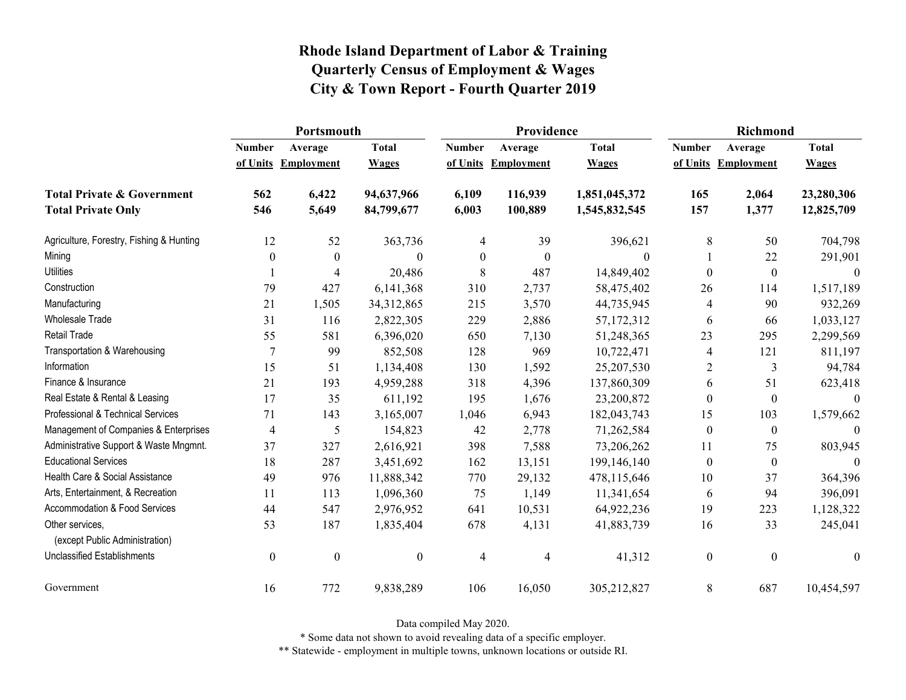|                                                   | Portsmouth       |                     |                  |               | Providence          |               | <b>Richmond</b>  |                     |              |
|---------------------------------------------------|------------------|---------------------|------------------|---------------|---------------------|---------------|------------------|---------------------|--------------|
|                                                   | <b>Number</b>    | Average             | <b>Total</b>     | <b>Number</b> | Average             | <b>Total</b>  | <b>Number</b>    | Average             | <b>Total</b> |
|                                                   |                  | of Units Employment | <b>Wages</b>     |               | of Units Employment | <b>Wages</b>  |                  | of Units Employment | <b>Wages</b> |
| <b>Total Private &amp; Government</b>             | 562              | 6,422               | 94,637,966       | 6,109         | 116,939             | 1,851,045,372 | 165              | 2,064               | 23,280,306   |
| <b>Total Private Only</b>                         | 546              | 5,649               | 84,799,677       | 6,003         | 100,889             | 1,545,832,545 | 157              | 1,377               | 12,825,709   |
| Agriculture, Forestry, Fishing & Hunting          | 12               | 52                  | 363,736          | 4             | 39                  | 396,621       | 8                | 50                  | 704,798      |
| Mining                                            | $\mathbf{0}$     | $\theta$            | $\theta$         | $\theta$      | $\theta$            | $\Omega$      |                  | 22                  | 291,901      |
| <b>Utilities</b>                                  |                  | 4                   | 20,486           | 8             | 487                 | 14,849,402    | $\theta$         | $\boldsymbol{0}$    | $\mathbf{0}$ |
| Construction                                      | 79               | 427                 | 6,141,368        | 310           | 2,737               | 58,475,402    | 26               | 114                 | 1,517,189    |
| Manufacturing                                     | 21               | 1,505               | 34,312,865       | 215           | 3,570               | 44,735,945    | 4                | 90                  | 932,269      |
| Wholesale Trade                                   | 31               | 116                 | 2,822,305        | 229           | 2,886               | 57,172,312    | 6                | 66                  | 1,033,127    |
| Retail Trade                                      | 55               | 581                 | 6,396,020        | 650           | 7,130               | 51,248,365    | 23               | 295                 | 2,299,569    |
| Transportation & Warehousing                      | 7                | 99                  | 852,508          | 128           | 969                 | 10,722,471    | 4                | 121                 | 811,197      |
| Information                                       | 15               | 51                  | 1,134,408        | 130           | 1,592               | 25,207,530    | 2                | 3                   | 94,784       |
| Finance & Insurance                               | 21               | 193                 | 4,959,288        | 318           | 4,396               | 137,860,309   | 6                | 51                  | 623,418      |
| Real Estate & Rental & Leasing                    | 17               | 35                  | 611,192          | 195           | 1,676               | 23,200,872    | $\boldsymbol{0}$ | $\boldsymbol{0}$    | $\Omega$     |
| Professional & Technical Services                 | 71               | 143                 | 3,165,007        | 1,046         | 6,943               | 182,043,743   | 15               | 103                 | 1,579,662    |
| Management of Companies & Enterprises             | 4                | 5                   | 154,823          | 42            | 2,778               | 71,262,584    | $\boldsymbol{0}$ | $\boldsymbol{0}$    | $\Omega$     |
| Administrative Support & Waste Mngmnt.            | 37               | 327                 | 2,616,921        | 398           | 7,588               | 73,206,262    | 11               | 75                  | 803,945      |
| <b>Educational Services</b>                       | 18               | 287                 | 3,451,692        | 162           | 13,151              | 199,146,140   | $\boldsymbol{0}$ | $\boldsymbol{0}$    | $\Omega$     |
| Health Care & Social Assistance                   | 49               | 976                 | 11,888,342       | 770           | 29,132              | 478,115,646   | 10               | 37                  | 364,396      |
| Arts, Entertainment, & Recreation                 | 11               | 113                 | 1,096,360        | 75            | 1,149               | 11,341,654    | 6                | 94                  | 396,091      |
| Accommodation & Food Services                     | 44               | 547                 | 2,976,952        | 641           | 10,531              | 64,922,236    | 19               | 223                 | 1,128,322    |
| Other services,<br>(except Public Administration) | 53               | 187                 | 1,835,404        | 678           | 4,131               | 41,883,739    | 16               | 33                  | 245,041      |
| <b>Unclassified Establishments</b>                | $\boldsymbol{0}$ | $\boldsymbol{0}$    | $\boldsymbol{0}$ | 4             | 4                   | 41,312        | $\boldsymbol{0}$ | $\boldsymbol{0}$    | $\theta$     |
| Government                                        | 16               | 772                 | 9,838,289        | 106           | 16,050              | 305,212,827   | 8                | 687                 | 10,454,597   |

Data compiled May 2020.

\* Some data not shown to avoid revealing data of a specific employer.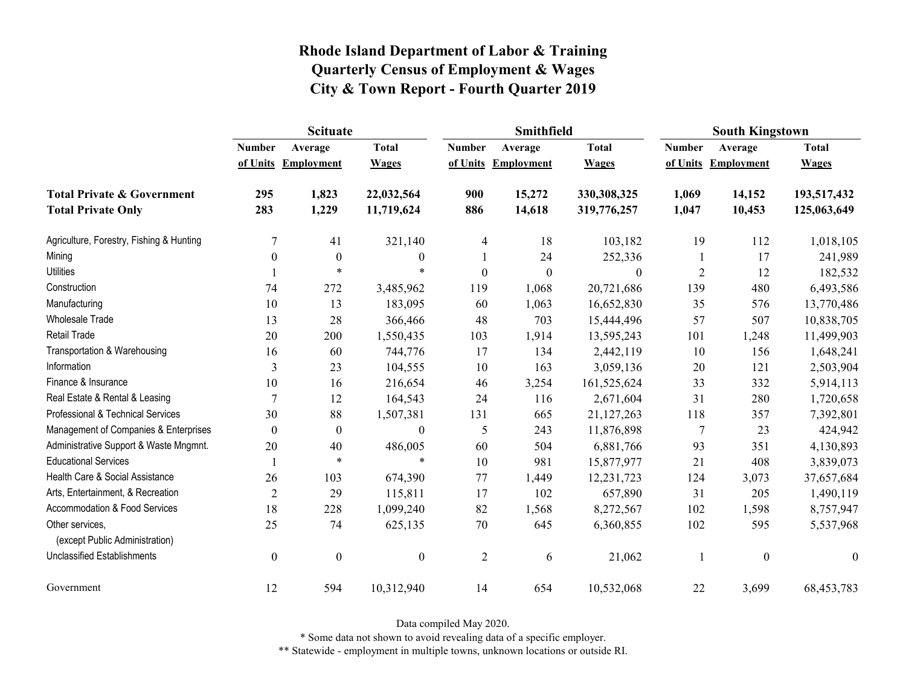|                                                   | <b>Scituate</b>  |                     |                  |                  | <b>Smithfield</b>   |                  | <b>South Kingstown</b> |                     |                  |
|---------------------------------------------------|------------------|---------------------|------------------|------------------|---------------------|------------------|------------------------|---------------------|------------------|
|                                                   | <b>Number</b>    | Average             | <b>Total</b>     | <b>Number</b>    | Average             | <b>Total</b>     | <b>Number</b>          | Average             | <b>Total</b>     |
|                                                   |                  | of Units Employment | <b>Wages</b>     |                  | of Units Employment | <b>Wages</b>     |                        | of Units Employment | <b>Wages</b>     |
| <b>Total Private &amp; Government</b>             | 295              | 1,823               | 22,032,564       | 900              | 15,272              | 330,308,325      | 1,069                  | 14,152              | 193,517,432      |
| <b>Total Private Only</b>                         | 283              | 1,229               | 11,719,624       | 886              | 14,618              | 319,776,257      | 1,047                  | 10,453              | 125,063,649      |
| Agriculture, Forestry, Fishing & Hunting          | 7                | 41                  | 321,140          | 4                | 18                  | 103,182          | 19                     | 112                 | 1,018,105        |
| Mining                                            | $\theta$         | $\mathbf{0}$        | $\boldsymbol{0}$ |                  | 24                  | 252,336          |                        | 17                  | 241,989          |
| <b>Utilities</b>                                  |                  | $\ast$              | $\ast$           | $\boldsymbol{0}$ | $\boldsymbol{0}$    | $\boldsymbol{0}$ | $\overline{2}$         | 12                  | 182,532          |
| Construction                                      | 74               | 272                 | 3,485,962        | 119              | 1,068               | 20,721,686       | 139                    | 480                 | 6,493,586        |
| Manufacturing                                     | 10               | 13                  | 183,095          | 60               | 1,063               | 16,652,830       | 35                     | 576                 | 13,770,486       |
| Wholesale Trade                                   | 13               | 28                  | 366,466          | 48               | 703                 | 15,444,496       | 57                     | 507                 | 10,838,705       |
| Retail Trade                                      | 20               | 200                 | 1,550,435        | 103              | 1,914               | 13,595,243       | 101                    | 1,248               | 11,499,903       |
| Transportation & Warehousing                      | 16               | 60                  | 744,776          | 17               | 134                 | 2,442,119        | 10                     | 156                 | 1,648,241        |
| Information                                       | 3                | 23                  | 104,555          | 10               | 163                 | 3,059,136        | 20                     | 121                 | 2,503,904        |
| Finance & Insurance                               | 10               | 16                  | 216,654          | 46               | 3,254               | 161,525,624      | 33                     | 332                 | 5,914,113        |
| Real Estate & Rental & Leasing                    | $\overline{7}$   | 12                  | 164,543          | 24               | 116                 | 2,671,604        | 31                     | 280                 | 1,720,658        |
| Professional & Technical Services                 | 30               | 88                  | 1,507,381        | 131              | 665                 | 21,127,263       | 118                    | 357                 | 7,392,801        |
| Management of Companies & Enterprises             | $\theta$         | $\theta$            | $\boldsymbol{0}$ | 5                | 243                 | 11,876,898       | 7                      | 23                  | 424,942          |
| Administrative Support & Waste Mngmnt.            | 20               | 40                  | 486,005          | 60               | 504                 | 6,881,766        | 93                     | 351                 | 4,130,893        |
| <b>Educational Services</b>                       |                  | $\star$             | $\ast$           | 10               | 981                 | 15,877,977       | 21                     | 408                 | 3,839,073        |
| Health Care & Social Assistance                   | 26               | 103                 | 674,390          | 77               | 1,449               | 12,231,723       | 124                    | 3,073               | 37,657,684       |
| Arts, Entertainment, & Recreation                 | $\mathbf{2}$     | 29                  | 115,811          | 17               | 102                 | 657,890          | 31                     | 205                 | 1,490,119        |
| Accommodation & Food Services                     | 18               | 228                 | 1,099,240        | 82               | 1,568               | 8,272,567        | 102                    | 1,598               | 8,757,947        |
| Other services,<br>(except Public Administration) | 25               | 74                  | 625,135          | $70\,$           | 645                 | 6,360,855        | 102                    | 595                 | 5,537,968        |
| <b>Unclassified Establishments</b>                | $\boldsymbol{0}$ | $\boldsymbol{0}$    | $\boldsymbol{0}$ | $\overline{2}$   | 6                   | 21,062           |                        | $\boldsymbol{0}$    | $\boldsymbol{0}$ |
| Government                                        | 12               | 594                 | 10,312,940       | 14               | 654                 | 10,532,068       | 22                     | 3,699               | 68,453,783       |

Data compiled May 2020.

\* Some data not shown to avoid revealing data of a specific employer.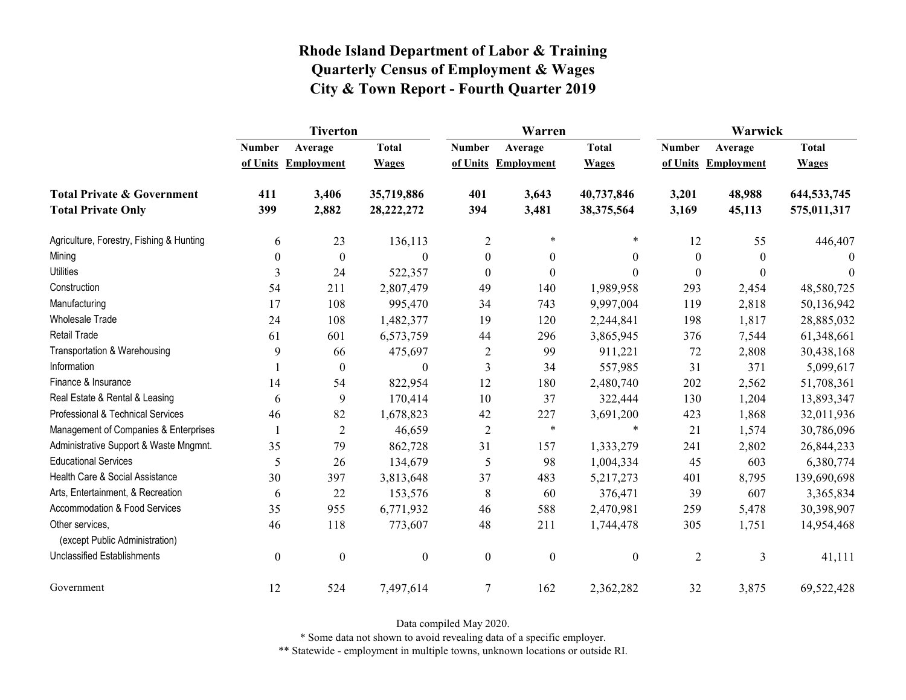|                                                   | <b>Tiverton</b>  |                     |                  |                  | Warren              |                  | Warwick        |                     |              |
|---------------------------------------------------|------------------|---------------------|------------------|------------------|---------------------|------------------|----------------|---------------------|--------------|
|                                                   | <b>Number</b>    | Average             | <b>Total</b>     | <b>Number</b>    | Average             | <b>Total</b>     | <b>Number</b>  | Average             | <b>Total</b> |
|                                                   |                  | of Units Employment | <b>Wages</b>     |                  | of Units Employment | <b>Wages</b>     |                | of Units Employment | <b>Wages</b> |
| <b>Total Private &amp; Government</b>             | 411              | 3,406               | 35,719,886       | 401              | 3,643               | 40,737,846       | 3,201          | 48,988              | 644,533,745  |
| <b>Total Private Only</b>                         | 399              | 2,882               | 28, 222, 272     | 394              | 3,481               | 38,375,564       | 3,169          | 45,113              | 575,011,317  |
| Agriculture, Forestry, Fishing & Hunting          | 6                | 23                  | 136,113          | $\overline{2}$   | $\ast$              | $\ast$           | 12             | 55                  | 446,407      |
| Mining                                            | $\theta$         | $\boldsymbol{0}$    | $\Omega$         | $\boldsymbol{0}$ | $\mathbf{0}$        | $\boldsymbol{0}$ | $\theta$       | $\Omega$            | $\theta$     |
| <b>Utilities</b>                                  | 3                | 24                  | 522,357          | $\boldsymbol{0}$ | $\boldsymbol{0}$    | $\boldsymbol{0}$ | $\theta$       | $\boldsymbol{0}$    | $\theta$     |
| Construction                                      | 54               | 211                 | 2,807,479        | 49               | 140                 | 1,989,958        | 293            | 2,454               | 48,580,725   |
| Manufacturing                                     | 17               | 108                 | 995,470          | 34               | 743                 | 9,997,004        | 119            | 2,818               | 50,136,942   |
| <b>Wholesale Trade</b>                            | 24               | 108                 | 1,482,377        | 19               | 120                 | 2,244,841        | 198            | 1,817               | 28,885,032   |
| Retail Trade                                      | 61               | 601                 | 6,573,759        | 44               | 296                 | 3,865,945        | 376            | 7,544               | 61,348,661   |
| Transportation & Warehousing                      | 9                | 66                  | 475,697          | $\overline{2}$   | 99                  | 911,221          | $72\,$         | 2,808               | 30,438,168   |
| Information                                       |                  | $\boldsymbol{0}$    | $\theta$         | 3                | 34                  | 557,985          | 31             | 371                 | 5,099,617    |
| Finance & Insurance                               | 14               | 54                  | 822,954          | 12               | 180                 | 2,480,740        | 202            | 2,562               | 51,708,361   |
| Real Estate & Rental & Leasing                    | 6                | 9                   | 170,414          | 10               | 37                  | 322,444          | 130            | 1,204               | 13,893,347   |
| Professional & Technical Services                 | 46               | 82                  | 1,678,823        | 42               | 227                 | 3,691,200        | 423            | 1,868               | 32,011,936   |
| Management of Companies & Enterprises             | $\mathbf{1}$     | $\overline{c}$      | 46,659           | $\overline{2}$   | $\ast$              | $\ast$           | 21             | 1,574               | 30,786,096   |
| Administrative Support & Waste Mngmnt.            | 35               | 79                  | 862,728          | 31               | 157                 | 1,333,279        | 241            | 2,802               | 26,844,233   |
| <b>Educational Services</b>                       | 5                | 26                  | 134,679          | 5                | 98                  | 1,004,334        | 45             | 603                 | 6,380,774    |
| Health Care & Social Assistance                   | 30               | 397                 | 3,813,648        | 37               | 483                 | 5,217,273        | 401            | 8,795               | 139,690,698  |
| Arts, Entertainment, & Recreation                 | 6                | 22                  | 153,576          | 8                | 60                  | 376,471          | 39             | 607                 | 3,365,834    |
| Accommodation & Food Services                     | 35               | 955                 | 6,771,932        | 46               | 588                 | 2,470,981        | 259            | 5,478               | 30,398,907   |
| Other services,<br>(except Public Administration) | 46               | 118                 | 773,607          | 48               | 211                 | 1,744,478        | 305            | 1,751               | 14,954,468   |
| <b>Unclassified Establishments</b>                | $\boldsymbol{0}$ | $\boldsymbol{0}$    | $\boldsymbol{0}$ | $\boldsymbol{0}$ | $\boldsymbol{0}$    | $\boldsymbol{0}$ | $\overline{2}$ | 3                   | 41,111       |
| Government                                        | 12               | 524                 | 7,497,614        | $\tau$           | 162                 | 2,362,282        | 32             | 3,875               | 69,522,428   |

Data compiled May 2020.

\* Some data not shown to avoid revealing data of a specific employer.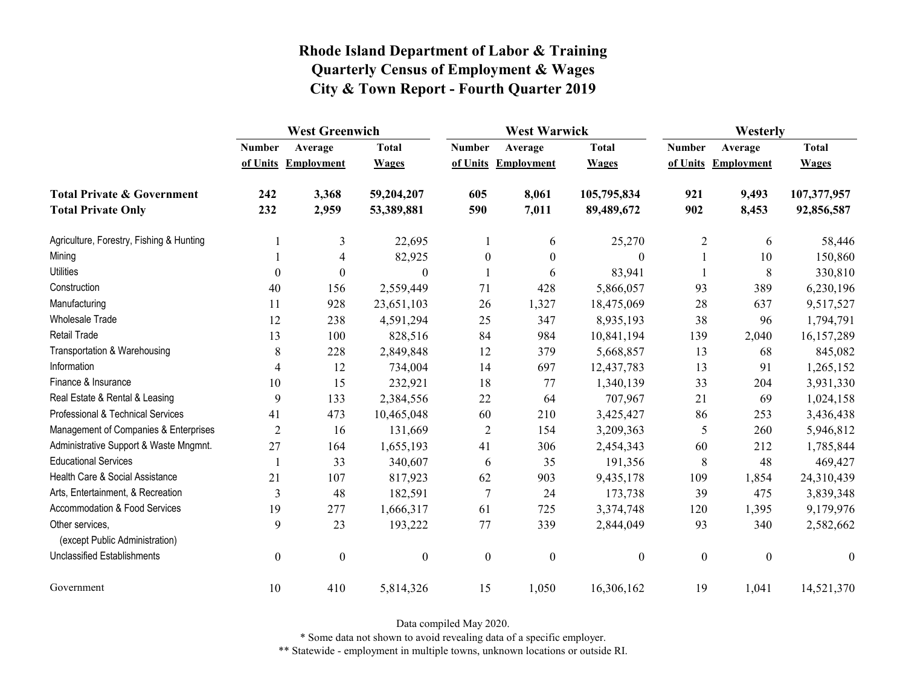|                                                   | <b>West Greenwich</b> |                     |                  | <b>West Warwick</b> |                     |                  | Westerly         |                     |              |
|---------------------------------------------------|-----------------------|---------------------|------------------|---------------------|---------------------|------------------|------------------|---------------------|--------------|
|                                                   | <b>Number</b>         | Average             | <b>Total</b>     | <b>Number</b>       | Average             | <b>Total</b>     | <b>Number</b>    | Average             | <b>Total</b> |
|                                                   |                       | of Units Employment | <b>Wages</b>     |                     | of Units Employment | <b>Wages</b>     |                  | of Units Employment | <b>Wages</b> |
| <b>Total Private &amp; Government</b>             | 242                   | 3,368               | 59,204,207       | 605                 | 8,061               | 105,795,834      | 921              | 9,493               | 107,377,957  |
| <b>Total Private Only</b>                         | 232                   | 2,959               | 53,389,881       | 590                 | 7,011               | 89,489,672       | 902              | 8,453               | 92,856,587   |
| Agriculture, Forestry, Fishing & Hunting          |                       | 3                   | 22,695           |                     | 6                   | 25,270           | $\overline{2}$   | 6                   | 58,446       |
| Mining                                            |                       | 4                   | 82,925           | $\boldsymbol{0}$    | $\mathbf{0}$        | $\theta$         |                  | 10                  | 150,860      |
| <b>Utilities</b>                                  | $\boldsymbol{0}$      | $\theta$            | $\mathbf{0}$     |                     | 6                   | 83,941           |                  | 8                   | 330,810      |
| Construction                                      | 40                    | 156                 | 2,559,449        | 71                  | 428                 | 5,866,057        | 93               | 389                 | 6,230,196    |
| Manufacturing                                     | 11                    | 928                 | 23,651,103       | 26                  | 1,327               | 18,475,069       | 28               | 637                 | 9,517,527    |
| <b>Wholesale Trade</b>                            | 12                    | 238                 | 4,591,294        | 25                  | 347                 | 8,935,193        | 38               | 96                  | 1,794,791    |
| Retail Trade                                      | 13                    | 100                 | 828,516          | 84                  | 984                 | 10,841,194       | 139              | 2,040               | 16,157,289   |
| Transportation & Warehousing                      | $\,$ $\,$             | 228                 | 2,849,848        | 12                  | 379                 | 5,668,857        | 13               | 68                  | 845,082      |
| Information                                       | 4                     | 12                  | 734,004          | 14                  | 697                 | 12,437,783       | 13               | 91                  | 1,265,152    |
| Finance & Insurance                               | 10                    | 15                  | 232,921          | 18                  | 77                  | 1,340,139        | 33               | 204                 | 3,931,330    |
| Real Estate & Rental & Leasing                    | 9                     | 133                 | 2,384,556        | 22                  | 64                  | 707,967          | 21               | 69                  | 1,024,158    |
| Professional & Technical Services                 | 41                    | 473                 | 10,465,048       | 60                  | 210                 | 3,425,427        | 86               | 253                 | 3,436,438    |
| Management of Companies & Enterprises             | $\overline{2}$        | 16                  | 131,669          | $\overline{2}$      | 154                 | 3,209,363        | 5                | 260                 | 5,946,812    |
| Administrative Support & Waste Mngmnt.            | 27                    | 164                 | 1,655,193        | 41                  | 306                 | 2,454,343        | 60               | 212                 | 1,785,844    |
| <b>Educational Services</b>                       |                       | 33                  | 340,607          | 6                   | 35                  | 191,356          | 8                | 48                  | 469,427      |
| Health Care & Social Assistance                   | 21                    | 107                 | 817,923          | 62                  | 903                 | 9,435,178        | 109              | 1,854               | 24,310,439   |
| Arts, Entertainment, & Recreation                 | $\overline{3}$        | 48                  | 182,591          | $\overline{7}$      | 24                  | 173,738          | 39               | 475                 | 3,839,348    |
| Accommodation & Food Services                     | 19                    | 277                 | 1,666,317        | 61                  | 725                 | 3,374,748        | 120              | 1,395               | 9,179,976    |
| Other services,<br>(except Public Administration) | 9                     | 23                  | 193,222          | 77                  | 339                 | 2,844,049        | 93               | 340                 | 2,582,662    |
| <b>Unclassified Establishments</b>                | $\boldsymbol{0}$      | $\boldsymbol{0}$    | $\boldsymbol{0}$ | $\boldsymbol{0}$    | $\boldsymbol{0}$    | $\boldsymbol{0}$ | $\boldsymbol{0}$ | $\boldsymbol{0}$    | $\theta$     |
| Government                                        | 10                    | 410                 | 5,814,326        | 15                  | 1,050               | 16,306,162       | 19               | 1,041               | 14,521,370   |

Data compiled May 2020.

\* Some data not shown to avoid revealing data of a specific employer.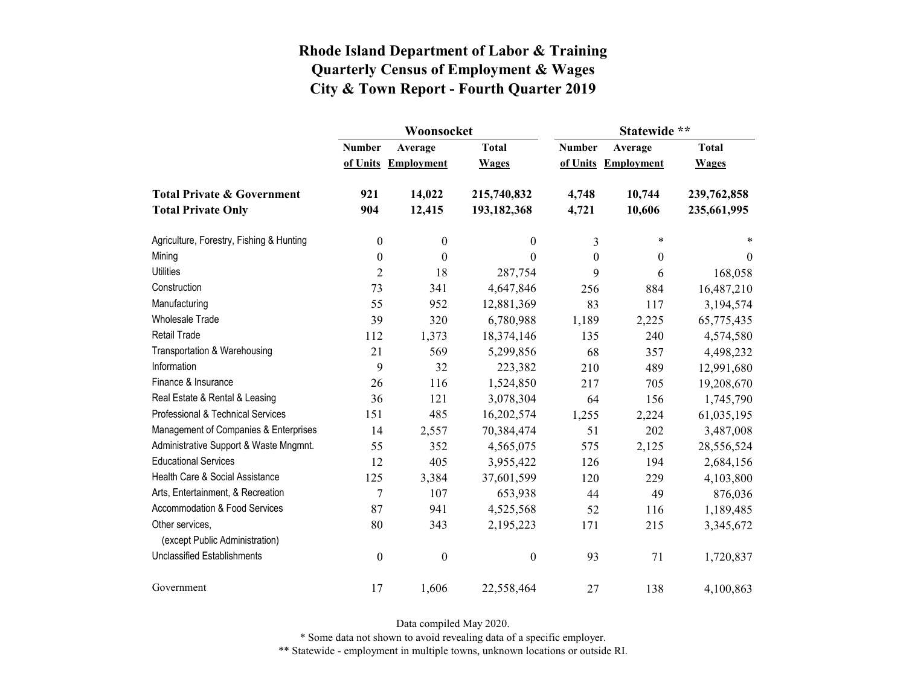|                                          |                  | Woonsocket        |                  | Statewide **     |                   |              |  |  |
|------------------------------------------|------------------|-------------------|------------------|------------------|-------------------|--------------|--|--|
|                                          | <b>Number</b>    | Average           | <b>Total</b>     | <b>Number</b>    | Average           | <b>Total</b> |  |  |
|                                          | of Units         | <b>Employment</b> | <b>Wages</b>     | of Units         | <b>Employment</b> | <b>Wages</b> |  |  |
| <b>Total Private &amp; Government</b>    | 921              | 14,022            | 215,740,832      | 4,748            | 10,744            | 239,762,858  |  |  |
| <b>Total Private Only</b>                | 904              | 12,415            | 193,182,368      | 4,721            | 10,606            | 235,661,995  |  |  |
| Agriculture, Forestry, Fishing & Hunting | $\boldsymbol{0}$ | $\boldsymbol{0}$  | 0                | 3                | $\star$           | $\ast$       |  |  |
| Mining                                   | $\boldsymbol{0}$ | $\boldsymbol{0}$  | $\boldsymbol{0}$ | $\boldsymbol{0}$ | $\mathbf{0}$      | $\theta$     |  |  |
| <b>Utilities</b>                         | $\overline{2}$   | 18                | 287,754          | 9                | 6                 | 168,058      |  |  |
| Construction                             | 73               | 341               | 4,647,846        | 256              | 884               | 16,487,210   |  |  |
| Manufacturing                            | 55               | 952               | 12,881,369       | 83               | 117               | 3,194,574    |  |  |
| <b>Wholesale Trade</b>                   | 39               | 320               | 6,780,988        | 1,189            | 2,225             | 65,775,435   |  |  |
| Retail Trade                             | 112              | 1,373             | 18,374,146       | 135              | 240               | 4,574,580    |  |  |
| Transportation & Warehousing             | 21               | 569               | 5,299,856        | 68               | 357               | 4,498,232    |  |  |
| Information                              | 9                | 32                | 223,382          | 210              | 489               | 12,991,680   |  |  |
| Finance & Insurance                      | 26               | 116               | 1,524,850        | 217              | 705               | 19,208,670   |  |  |
| Real Estate & Rental & Leasing           | 36               | 121               | 3,078,304        | 64               | 156               | 1,745,790    |  |  |
| Professional & Technical Services        | 151              | 485               | 16,202,574       | 1,255            | 2,224             | 61,035,195   |  |  |
| Management of Companies & Enterprises    | 14               | 2,557             | 70,384,474       | 51               | 202               | 3,487,008    |  |  |
| Administrative Support & Waste Mngmnt.   | 55               | 352               | 4,565,075        | 575              | 2,125             | 28,556,524   |  |  |
| <b>Educational Services</b>              | 12               | 405               | 3,955,422        | 126              | 194               | 2,684,156    |  |  |
| Health Care & Social Assistance          | 125              | 3,384             | 37,601,599       | 120              | 229               | 4,103,800    |  |  |
| Arts, Entertainment, & Recreation        | $\overline{7}$   | 107               | 653,938          | 44               | 49                | 876,036      |  |  |
| Accommodation & Food Services            | 87               | 941               | 4,525,568        | 52               | 116               | 1,189,485    |  |  |
| Other services,                          | 80               | 343               | 2,195,223        | 171              | 215               | 3,345,672    |  |  |
| (except Public Administration)           |                  |                   |                  |                  |                   |              |  |  |
| <b>Unclassified Establishments</b>       | $\boldsymbol{0}$ | $\boldsymbol{0}$  | $\boldsymbol{0}$ | 93               | 71                | 1,720,837    |  |  |
| Government                               | 17               | 1,606             | 22,558,464       | 27               | 138               | 4,100,863    |  |  |

Data compiled May 2020.

\* Some data not shown to avoid revealing data of a specific employer.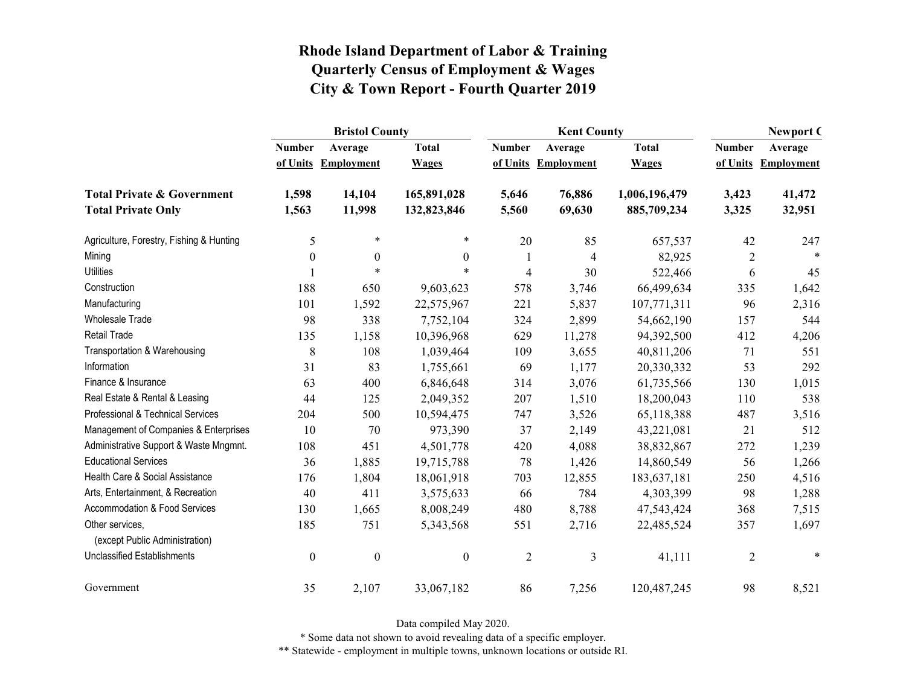|                                                   |                  | <b>Bristol County</b> |                  |                | <b>Kent County</b>  | <b>Newport C</b> |                |                   |
|---------------------------------------------------|------------------|-----------------------|------------------|----------------|---------------------|------------------|----------------|-------------------|
|                                                   | <b>Number</b>    | Average               | <b>Total</b>     | <b>Number</b>  | Average             | <b>Total</b>     | <b>Number</b>  | Average           |
|                                                   |                  | of Units Employment   | <b>Wages</b>     |                | of Units Employment | <b>Wages</b>     | of Units       | <b>Employment</b> |
| <b>Total Private &amp; Government</b>             | 1,598            | 14,104                | 165,891,028      | 5,646          | 76,886              | 1,006,196,479    | 3,423          | 41,472            |
| <b>Total Private Only</b>                         | 1,563            | 11,998                | 132,823,846      | 5,560          | 69,630              | 885,709,234      | 3,325          | 32,951            |
| Agriculture, Forestry, Fishing & Hunting          | 5                | $\ast$                | $\ast$           | 20             | 85                  | 657,537          | 42             | 247               |
| Mining                                            | $\theta$         | $\overline{0}$        | $\boldsymbol{0}$ |                | $\overline{4}$      | 82,925           | $\overline{2}$ |                   |
| <b>Utilities</b>                                  |                  | $\ast$                | $\ast$           | $\overline{4}$ | 30                  | 522,466          | 6              | 45                |
| Construction                                      | 188              | 650                   | 9,603,623        | 578            | 3,746               | 66,499,634       | 335            | 1,642             |
| Manufacturing                                     | 101              | 1,592                 | 22,575,967       | 221            | 5,837               | 107,771,311      | 96             | 2,316             |
| <b>Wholesale Trade</b>                            | 98               | 338                   | 7,752,104        | 324            | 2,899               | 54,662,190       | 157            | 544               |
| Retail Trade                                      | 135              | 1,158                 | 10,396,968       | 629            | 11,278              | 94,392,500       | 412            | 4,206             |
| Transportation & Warehousing                      | $\,$ 8 $\,$      | 108                   | 1,039,464        | 109            | 3,655               | 40,811,206       | 71             | 551               |
| Information                                       | 31               | 83                    | 1,755,661        | 69             | 1,177               | 20,330,332       | 53             | 292               |
| Finance & Insurance                               | 63               | 400                   | 6,846,648        | 314            | 3,076               | 61,735,566       | 130            | 1,015             |
| Real Estate & Rental & Leasing                    | 44               | 125                   | 2,049,352        | 207            | 1,510               | 18,200,043       | 110            | 538               |
| Professional & Technical Services                 | 204              | 500                   | 10,594,475       | 747            | 3,526               | 65,118,388       | 487            | 3,516             |
| Management of Companies & Enterprises             | 10               | 70                    | 973,390          | 37             | 2,149               | 43,221,081       | 21             | 512               |
| Administrative Support & Waste Mngmnt.            | 108              | 451                   | 4,501,778        | 420            | 4,088               | 38,832,867       | 272            | 1,239             |
| <b>Educational Services</b>                       | 36               | 1,885                 | 19,715,788       | 78             | 1,426               | 14,860,549       | 56             | 1,266             |
| Health Care & Social Assistance                   | 176              | 1,804                 | 18,061,918       | 703            | 12,855              | 183,637,181      | 250            | 4,516             |
| Arts, Entertainment, & Recreation                 | 40               | 411                   | 3,575,633        | 66             | 784                 | 4,303,399        | 98             | 1,288             |
| Accommodation & Food Services                     | 130              | 1,665                 | 8,008,249        | 480            | 8,788               | 47,543,424       | 368            | 7,515             |
| Other services,<br>(except Public Administration) | 185              | 751                   | 5,343,568        | 551            | 2,716               | 22,485,524       | 357            | 1,697             |
| <b>Unclassified Establishments</b>                | $\boldsymbol{0}$ | $\boldsymbol{0}$      | $\boldsymbol{0}$ | $\overline{2}$ | 3                   | 41,111           | $\overline{2}$ | $\ast$            |
| Government                                        | 35               | 2,107                 | 33,067,182       | 86             | 7,256               | 120,487,245      | 98             | 8,521             |

Data compiled May 2020.

\* Some data not shown to avoid revealing data of a specific employer.